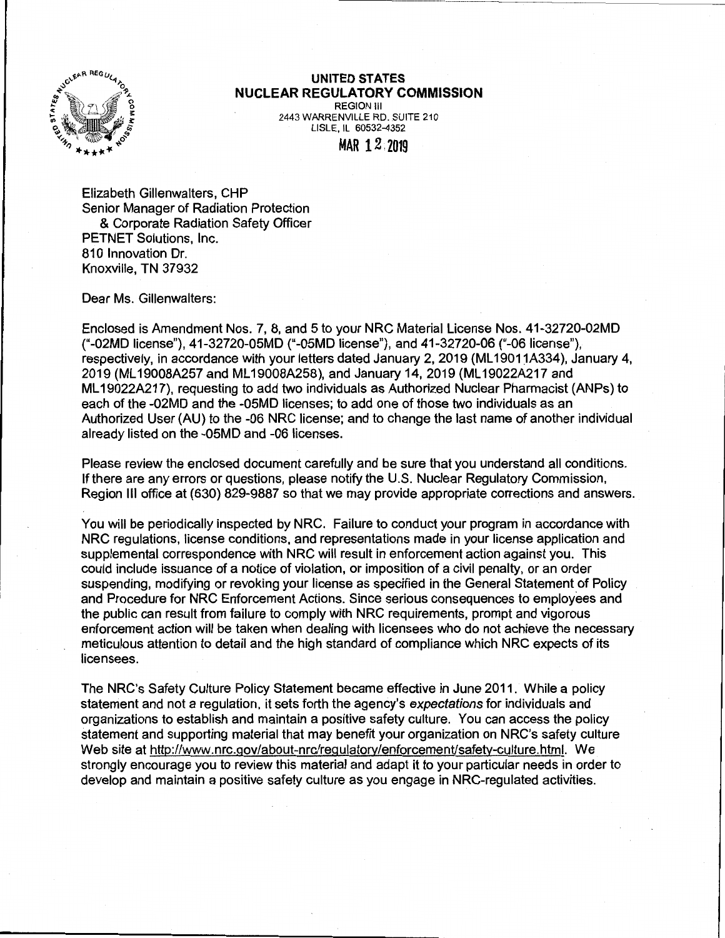

## **UNITED STATES NUCLEAR REGULATORY COMMISSION**

REGION Ill 2443 WARRENVILLE RD. SUITE 210 LISLE, IL 60532-4352

MAR 12,2019

Elizabeth Gillenwalters, CHP Senior Manager of Radiation Protection & Corporate Radiation Safety Officer PETNET Solutions, Inc. 810 Innovation Dr. Knoxville, TN 37932

Dear Ms. Gillenwalters:

Enclosed is Amendment Nos. 7, 8, and 5 to your NRC Material License Nos. 41-32720-02MD ("-02MD license"), 41-32720-0SMD ("-05MD license"), and 41-32720-06 ("-06 license"}, respectively, in accordance with your letters dated January 2, 2019 (ML19011A334), January 4, 2019 (ML 19008A257 and ML 19008A258), and January 14, 2019 (ML 19022A217 and ML 19022A217), requesting to add two individuals as Authorized Nuclear Pharmacist (ANPs) to each of the -02MD and the -05MD licenses; to add one of those two individuals as an Authorized User (AU) to the -06 NRC license; and to change the last name of another individual already listed on the -05MD and -06 licenses.

Please review the enclosed document carefully and be sure that you understand all conditions. If there are any errors or questions, please notify the U.S. Nuclear Regulatory Commission, Region Ill office at (630) 829-9887 so that we may provide appropriate corrections and answers.

You will be periodically inspected by NRC. Failure to conduct your program in accordance with NRC regulations, license conditions, and representations made in your license application and supplemental correspondence with NRC will result in enforcement action against you. This could include issuance of a notice of violation, or imposition of a civil penalty, or an order suspending, modifying or revoking your license as specified in the General Statement of Policy and Procedure for NRC Enforcement Actions. Since serious consequences to employees and the public can result from failure to comply with NRC requirements, prompt and vigorous enforcement action will be taken when dealing with licensees who do not achieve the necessary meticulous attention to detail and the high standard of compliance which NRC expects of its licensees.

The NRC's Safety Culture Policy Statement became effective in June 2011. While a policy statement and not a regulation, it sets forth the agency's expectations for individuals and organizations to establish and maintain a positive safety culture. You can access the policy statement and supporting material that may benefit your organization on NRC's safety culture Web site at http://www.nrc.gov/about-nrc/regulatory/enforcement/safety-culture.html. We strongly encourage you to review this material and adapt it to your particular needs in order to develop and maintain a positive safety culture as you engage in NRG-regulated activities.